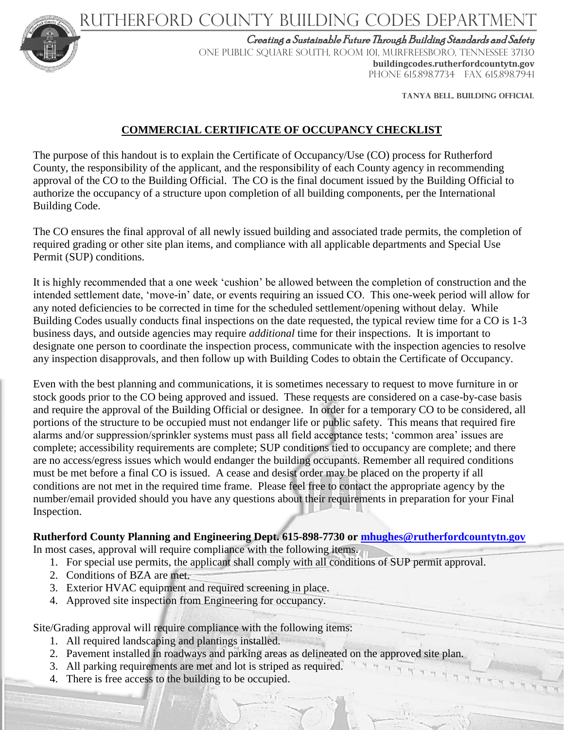Rutherford County Building Codes DEPARTMENT



Creating a Sustainable Future Through Building Standards and Safety

ONE PUBLIC SQUARE SOUTH, ROOM 101, MURFREESBORO, TENNESSEE 37130 **buildingcodes.rutherfordcountytn.gov**  PHONE 615.898.7734 FAX 615.898.7941

**TANYA belL, BUILDING OFFICIAL**

## **COMMERCIAL CERTIFICATE OF OCCUPANCY CHECKLIST**

The purpose of this handout is to explain the Certificate of Occupancy/Use (CO) process for Rutherford County, the responsibility of the applicant, and the responsibility of each County agency in recommending approval of the CO to the Building Official. The CO is the final document issued by the Building Official to authorize the occupancy of a structure upon completion of all building components, per the International Building Code.

The CO ensures the final approval of all newly issued building and associated trade permits, the completion of required grading or other site plan items, and compliance with all applicable departments and Special Use Permit (SUP) conditions.

It is highly recommended that a one week 'cushion' be allowed between the completion of construction and the intended settlement date, 'move-in' date, or events requiring an issued CO. This one-week period will allow for any noted deficiencies to be corrected in time for the scheduled settlement/opening without delay. While Building Codes usually conducts final inspections on the date requested, the typical review time for a CO is 1-3 business days, and outside agencies may require *additional* time for their inspections. It is important to designate one person to coordinate the inspection process, communicate with the inspection agencies to resolve any inspection disapprovals, and then follow up with Building Codes to obtain the Certificate of Occupancy.

Even with the best planning and communications, it is sometimes necessary to request to move furniture in or stock goods prior to the CO being approved and issued. These requests are considered on a case-by-case basis and require the approval of the Building Official or designee. In order for a temporary CO to be considered, all portions of the structure to be occupied must not endanger life or public safety. This means that required fire alarms and/or suppression/sprinkler systems must pass all field acceptance tests; 'common area' issues are complete; accessibility requirements are complete; SUP conditions tied to occupancy are complete; and there are no access/egress issues which would endanger the building occupants. Remember all required conditions must be met before a final CO is issued. A cease and desist order may be placed on the property if all conditions are not met in the required time frame. Please feel free to contact the appropriate agency by the number/email provided should you have any questions about their requirements in preparation for your Final Inspection.

# **Rutherford County Planning and Engineering Dept. 615-898-7730 or [mhughes@rutherfordcountytn.gov](mailto:mhughes@rutherfordcountytn.gov)**

In most cases, approval will require compliance with the following items.

- 1. For special use permits, the applicant shall comply with all conditions of SUP permit approval.
- 2. Conditions of BZA are met.
- 3. Exterior HVAC equipment and required screening in place.
- 4. Approved site inspection from Engineering for occupancy.

Site/Grading approval will require compliance with the following items:

- 1. All required landscaping and plantings installed.
- 2. Pavement installed in roadways and parking areas as delineated on the approved site plan.
- 3. All parking requirements are met and lot is striped as required.
- 4. There is free access to the building to be occupied.